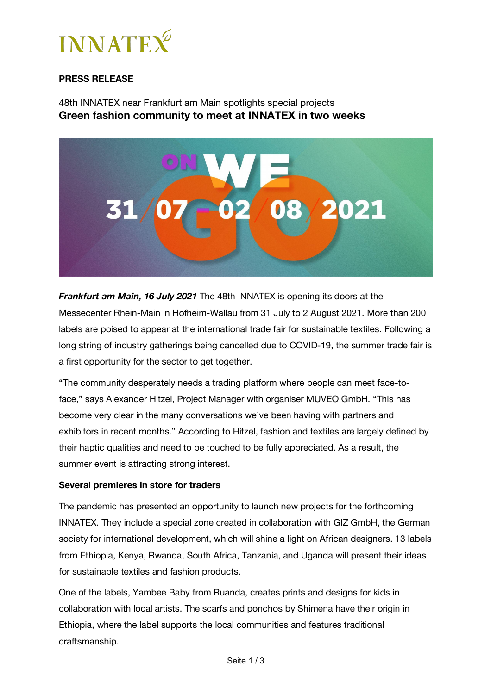

# **PRESS RELEASE**

48th INNATEX near Frankfurt am Main spotlights special projects **Green fashion community to meet at INNATEX in two weeks**



*Frankfurt am Main, 16 July 2021* The 48th INNATEX is opening its doors at the Messecenter Rhein-Main in Hofheim-Wallau from 31 July to 2 August 2021. More than 200 labels are poised to appear at the international trade fair for sustainable textiles. Following a long string of industry gatherings being cancelled due to COVID-19, the summer trade fair is a first opportunity for the sector to get together.

"The community desperately needs a trading platform where people can meet face-toface," says Alexander Hitzel, Project Manager with organiser MUVEO GmbH. "This has become very clear in the many conversations we've been having with partners and exhibitors in recent months." According to Hitzel, fashion and textiles are largely defined by their haptic qualities and need to be touched to be fully appreciated. As a result, the summer event is attracting strong interest.

#### **Several premieres in store for traders**

The pandemic has presented an opportunity to launch new projects for the forthcoming INNATEX. They include a special zone created in collaboration with GIZ GmbH, the German society for international development, which will shine a light on African designers. 13 labels from Ethiopia, Kenya, Rwanda, South Africa, Tanzania, and Uganda will present their ideas for sustainable textiles and fashion products.

One of the labels, Yambee Baby from Ruanda, creates prints and designs for kids in collaboration with local artists. The scarfs and ponchos by Shimena have their origin in Ethiopia, where the label supports the local communities and features traditional craftsmanship.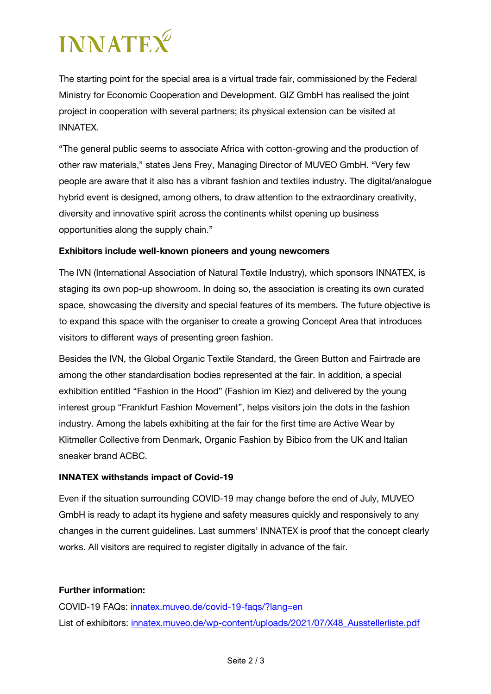# **INNATEX**

The starting point for the special area is a virtual trade fair, commissioned by the Federal Ministry for Economic Cooperation and Development. GIZ GmbH has realised the joint project in cooperation with several partners; its physical extension can be visited at INNATEX.

"The general public seems to associate Africa with cotton-growing and the production of other raw materials," states Jens Frey, Managing Director of MUVEO GmbH. "Very few people are aware that it also has a vibrant fashion and textiles industry. The digital/analogue hybrid event is designed, among others, to draw attention to the extraordinary creativity, diversity and innovative spirit across the continents whilst opening up business opportunities along the supply chain."

## **Exhibitors include well-known pioneers and young newcomers**

The IVN (International Association of Natural Textile Industry), which sponsors INNATEX, is staging its own pop-up showroom. In doing so, the association is creating its own curated space, showcasing the diversity and special features of its members. The future objective is to expand this space with the organiser to create a growing Concept Area that introduces visitors to different ways of presenting green fashion.

Besides the IVN, the Global Organic Textile Standard, the Green Button and Fairtrade are among the other standardisation bodies represented at the fair. In addition, a special exhibition entitled "Fashion in the Hood" (Fashion im Kiez) and delivered by the young interest group "Frankfurt Fashion Movement", helps visitors join the dots in the fashion industry. Among the labels exhibiting at the fair for the first time are Active Wear by Klitmøller Collective from Denmark, Organic Fashion by Bibico from the UK and Italian sneaker brand ACBC.

#### **INNATEX withstands impact of Covid-19**

Even if the situation surrounding COVID-19 may change before the end of July, MUVEO GmbH is ready to adapt its hygiene and safety measures quickly and responsively to any changes in the current guidelines. Last summers' INNATEX is proof that the concept clearly works. All visitors are required to register digitally in advance of the fair.

## **Further information:**

COVID-19 FAQs: innatex.muveo.de/covid-19-faqs/?lang=en List of exhibitors: innatex.muveo.de/wp-content/uploads/2021/07/X48\_Ausstellerliste.pdf